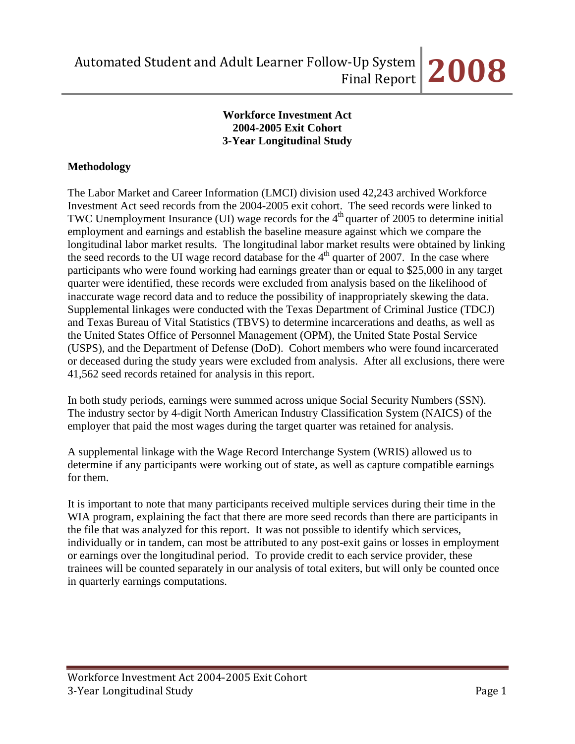## **Workforce Investment Act 2004-2005 Exit Cohort 3-Year Longitudinal Study**

# **Methodology**

The Labor Market and Career Information (LMCI) division used 42,243 archived Workforce Investment Act seed records from the 2004-2005 exit cohort. The seed records were linked to TWC Unemployment Insurance (UI) wage records for the  $4<sup>th</sup>$  quarter of 2005 to determine initial employment and earnings and establish the baseline measure against which we compare the longitudinal labor market results. The longitudinal labor market results were obtained by linking the seed records to the UI wage record database for the  $4<sup>th</sup>$  quarter of 2007. In the case where participants who were found working had earnings greater than or equal to \$25,000 in any target quarter were identified, these records were excluded from analysis based on the likelihood of inaccurate wage record data and to reduce the possibility of inappropriately skewing the data. Supplemental linkages were conducted with the Texas Department of Criminal Justice (TDCJ) and Texas Bureau of Vital Statistics (TBVS) to determine incarcerations and deaths, as well as the United States Office of Personnel Management (OPM), the United State Postal Service (USPS), and the Department of Defense (DoD). Cohort members who were found incarcerated or deceased during the study years were excluded from analysis. After all exclusions, there were 41,562 seed records retained for analysis in this report.

In both study periods, earnings were summed across unique Social Security Numbers (SSN). The industry sector by 4-digit North American Industry Classification System (NAICS) of the employer that paid the most wages during the target quarter was retained for analysis.

A supplemental linkage with the Wage Record Interchange System (WRIS) allowed us to determine if any participants were working out of state, as well as capture compatible earnings for them.

It is important to note that many participants received multiple services during their time in the WIA program, explaining the fact that there are more seed records than there are participants in the file that was analyzed for this report. It was not possible to identify which services, individually or in tandem, can most be attributed to any post-exit gains or losses in employment or earnings over the longitudinal period. To provide credit to each service provider, these trainees will be counted separately in our analysis of total exiters, but will only be counted once in quarterly earnings computations.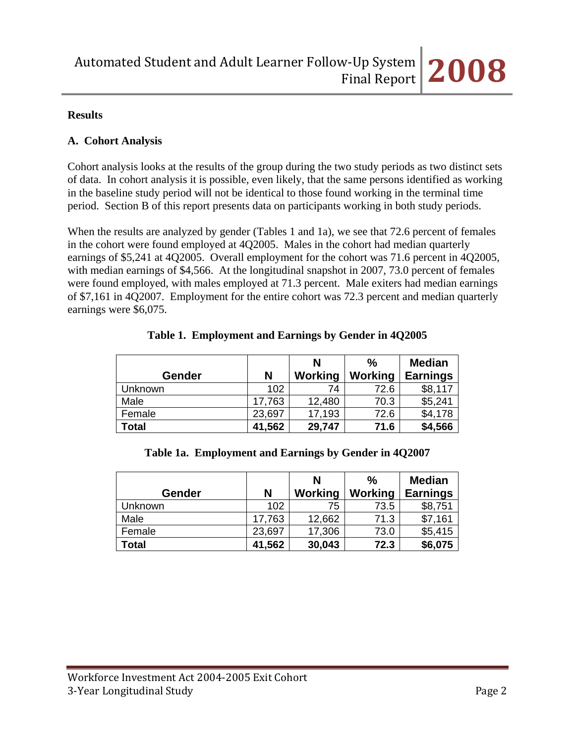#### **Results**

#### **A. Cohort Analysis**

Cohort analysis looks at the results of the group during the two study periods as two distinct sets of data. In cohort analysis it is possible, even likely, that the same persons identified as working in the baseline study period will not be identical to those found working in the terminal time period. Section B of this report presents data on participants working in both study periods.

When the results are analyzed by gender (Tables 1 and 1a), we see that 72.6 percent of females in the cohort were found employed at 4Q2005. Males in the cohort had median quarterly earnings of \$5,241 at 4Q2005. Overall employment for the cohort was 71.6 percent in 4Q2005, with median earnings of \$4,566. At the longitudinal snapshot in 2007, 73.0 percent of females were found employed, with males employed at 71.3 percent. Male exiters had median earnings of \$7,161 in 4Q2007. Employment for the entire cohort was 72.3 percent and median quarterly earnings were \$6,075.

|                |        | N       | $\%$    | <b>Median</b>   |
|----------------|--------|---------|---------|-----------------|
| <b>Gender</b>  | N      | Working | Working | <b>Earnings</b> |
| <b>Unknown</b> | 102    | 74      | 72.6    | \$8,117         |
| Male           | 17,763 | 12,480  | 70.3    | \$5,241         |
| Female         | 23,697 | 17,193  | 72.6    | \$4,178         |
| Total          | 41,562 | 29,747  | 71.6    | \$4,566         |

**Table 1. Employment and Earnings by Gender in 4Q2005** 

#### **Table 1a. Employment and Earnings by Gender in 4Q2007**

|         |        | N       | $\frac{0}{0}$ | <b>Median</b>   |
|---------|--------|---------|---------------|-----------------|
| Gender  | N      | Working | Working       | <b>Earnings</b> |
| Unknown | 102    | 75      | 73.5          | \$8,751         |
| Male    | 17,763 | 12,662  | 71.3          | \$7,161         |
| Female  | 23,697 | 17,306  | 73.0          | \$5,415         |
| Total   | 41,562 | 30,043  | 72.3          | \$6,075         |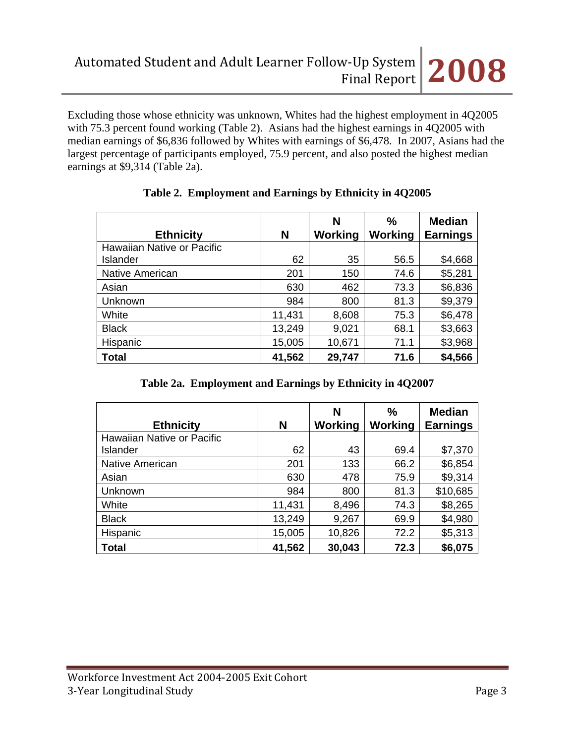Excluding those whose ethnicity was unknown, Whites had the highest employment in 4Q2005 with 75.3 percent found working (Table 2). Asians had the highest earnings in 4Q2005 with median earnings of \$6,836 followed by Whites with earnings of \$6,478. In 2007, Asians had the largest percentage of participants employed, 75.9 percent, and also posted the highest median earnings at \$9,314 (Table 2a).

| <b>Ethnicity</b>           | N      | N<br><b>Working</b> | $\frac{0}{0}$<br>Working | <b>Median</b><br><b>Earnings</b> |
|----------------------------|--------|---------------------|--------------------------|----------------------------------|
| Hawaiian Native or Pacific |        |                     |                          |                                  |
| Islander                   | 62     | 35                  | 56.5                     | \$4,668                          |
| Native American            | 201    | 150                 | 74.6                     | \$5,281                          |
| Asian                      | 630    | 462                 | 73.3                     | \$6,836                          |
| Unknown                    | 984    | 800                 | 81.3                     | \$9,379                          |
| White                      | 11,431 | 8,608               | 75.3                     | \$6,478                          |
| <b>Black</b>               | 13,249 | 9,021               | 68.1                     | \$3,663                          |
| Hispanic                   | 15,005 | 10,671              | 71.1                     | \$3,968                          |
| <b>Total</b>               | 41,562 | 29,747              | 71.6                     | \$4,566                          |

# **Table 2. Employment and Earnings by Ethnicity in 4Q2005**

| Table 2a. Employment and Earnings by Ethnicity in 4Q2007 |  |  |
|----------------------------------------------------------|--|--|
|                                                          |  |  |

| <b>Ethnicity</b>           | N      | N<br><b>Working</b> | $\frac{0}{0}$<br>Working | <b>Median</b><br><b>Earnings</b> |
|----------------------------|--------|---------------------|--------------------------|----------------------------------|
| Hawaiian Native or Pacific |        |                     |                          |                                  |
| Islander                   | 62     | 43                  | 69.4                     | \$7,370                          |
| <b>Native American</b>     | 201    | 133                 | 66.2                     | \$6,854                          |
| Asian                      | 630    | 478                 | 75.9                     | \$9,314                          |
| Unknown                    | 984    | 800                 | 81.3                     | \$10,685                         |
| White                      | 11,431 | 8,496               | 74.3                     | \$8,265                          |
| <b>Black</b>               | 13,249 | 9,267               | 69.9                     | \$4,980                          |
| Hispanic                   | 15,005 | 10,826              | 72.2                     | \$5,313                          |
| <b>Total</b>               | 41,562 | 30,043              | 72.3                     | \$6,075                          |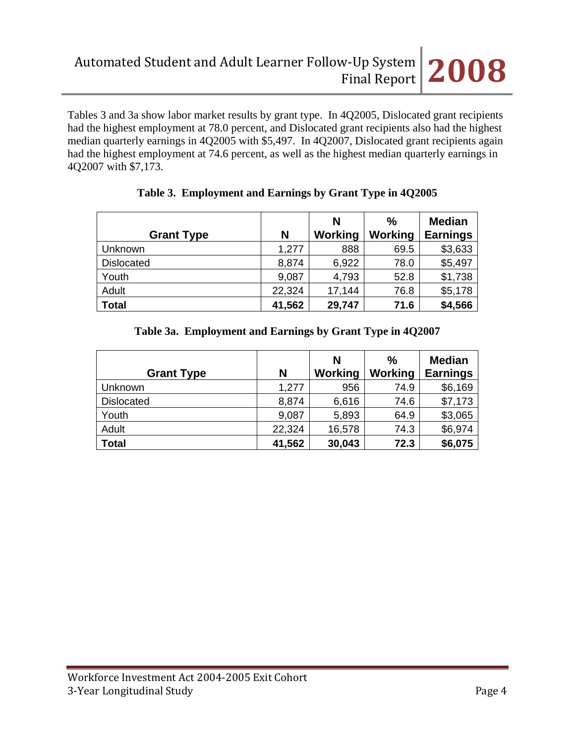Tables 3 and 3a show labor market results by grant type. In 4Q2005, Dislocated grant recipients had the highest employment at 78.0 percent, and Dislocated grant recipients also had the highest median quarterly earnings in 4Q2005 with \$5,497. In 4Q2007, Dislocated grant recipients again had the highest employment at 74.6 percent, as well as the highest median quarterly earnings in 4Q2007 with \$7,173.

|                   |        | N       | $\frac{0}{0}$ | <b>Median</b>   |
|-------------------|--------|---------|---------------|-----------------|
| <b>Grant Type</b> | N      | Working | Working       | <b>Earnings</b> |
| Unknown           | 1,277  | 888     | 69.5          | \$3,633         |
| <b>Dislocated</b> | 8,874  | 6,922   | 78.0          | \$5,497         |
| Youth             | 9,087  | 4,793   | 52.8          | \$1,738         |
| Adult             | 22,324 | 17,144  | 76.8          | \$5,178         |
| <b>Total</b>      | 41,562 | 29,747  | 71.6          | \$4,566         |

## **Table 3. Employment and Earnings by Grant Type in 4Q2005**

# **Table 3a. Employment and Earnings by Grant Type in 4Q2007**

| <b>Grant Type</b> | N      | N<br>Working | $\%$<br>Working | <b>Median</b><br><b>Earnings</b> |
|-------------------|--------|--------------|-----------------|----------------------------------|
| <b>Unknown</b>    | 1,277  | 956          | 74.9            | \$6,169                          |
| <b>Dislocated</b> | 8,874  | 6,616        | 74.6            | \$7,173                          |
| Youth             | 9,087  | 5,893        | 64.9            | \$3,065                          |
| Adult             | 22,324 | 16,578       | 74.3            | \$6,974                          |
| <b>Total</b>      | 41,562 | 30,043       | 72.3            | \$6,075                          |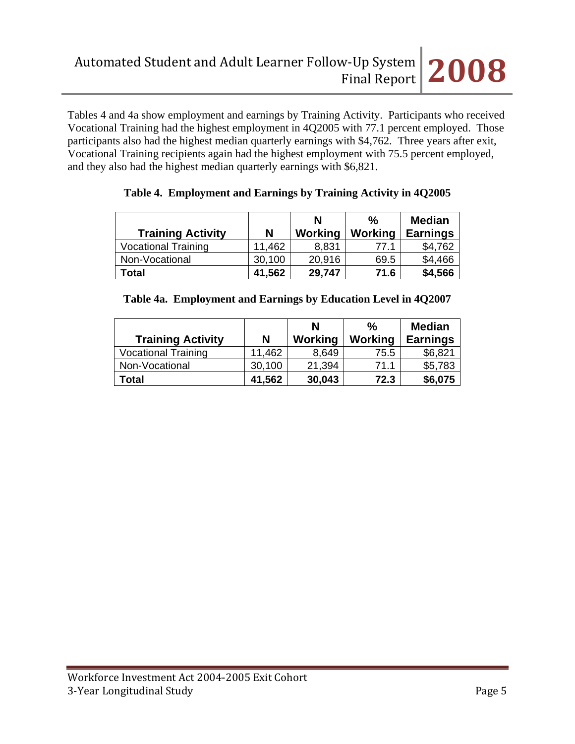Tables 4 and 4a show employment and earnings by Training Activity. Participants who received Vocational Training had the highest employment in 4Q2005 with 77.1 percent employed. Those participants also had the highest median quarterly earnings with \$4,762. Three years after exit, Vocational Training recipients again had the highest employment with 75.5 percent employed, and they also had the highest median quarterly earnings with \$6,821.

|                            |        | N       | %       | <b>Median</b>   |
|----------------------------|--------|---------|---------|-----------------|
| <b>Training Activity</b>   | N      | Working | Working | <b>Earnings</b> |
| <b>Vocational Training</b> | 11,462 | 8,831   | 77.1    | \$4,762         |
| Non-Vocational             | 30,100 | 20,916  | 69.5    | \$4,466         |
| Total                      | 41,562 | 29,747  | 71.6    | \$4,566         |

| Table 4. Employment and Earnings by Training Activity in 4Q2005 |  |  |  |  |  |  |
|-----------------------------------------------------------------|--|--|--|--|--|--|
|-----------------------------------------------------------------|--|--|--|--|--|--|

|  |  | Table 4a. Employment and Earnings by Education Level in 4Q2007 |
|--|--|----------------------------------------------------------------|
|  |  |                                                                |

| <b>Training Activity</b>   | N      | N<br>Working | $\%$<br>Working | <b>Median</b><br><b>Earnings</b> |
|----------------------------|--------|--------------|-----------------|----------------------------------|
| <b>Vocational Training</b> | 11,462 | 8,649        | 75.5            | \$6,821                          |
| Non-Vocational             | 30,100 | 21,394       | 71.1            | \$5,783                          |
| Total                      | 41,562 | 30,043       | 72.3            | \$6,075                          |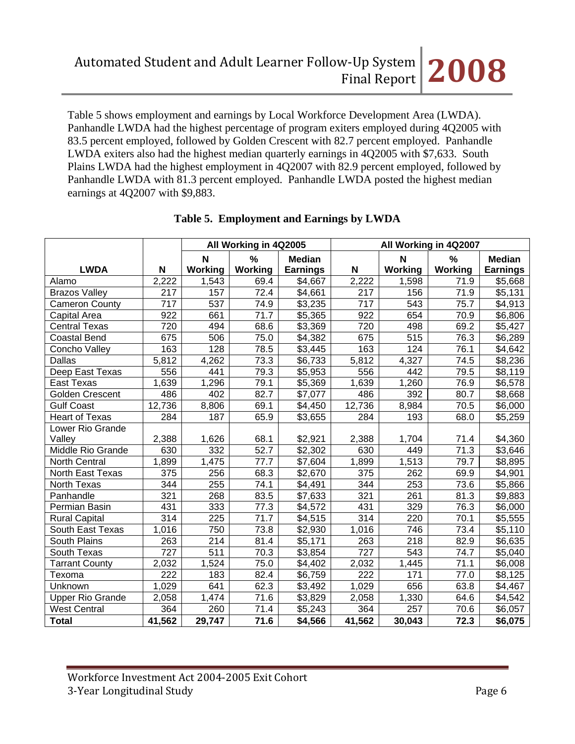Table 5 shows employment and earnings by Local Workforce Development Area (LWDA). Panhandle LWDA had the highest percentage of program exiters employed during 4Q2005 with 83.5 percent employed, followed by Golden Crescent with 82.7 percent employed. Panhandle LWDA exiters also had the highest median quarterly earnings in 4Q2005 with \$7,633. South Plains LWDA had the highest employment in 4Q2007 with 82.9 percent employed, followed by Panhandle LWDA with 81.3 percent employed. Panhandle LWDA posted the highest median earnings at 4Q2007 with \$9,883.

|                         |        |         | All Working in 4Q2005 |                     |                  |         | All Working in 4Q2007 |                     |
|-------------------------|--------|---------|-----------------------|---------------------|------------------|---------|-----------------------|---------------------|
|                         |        | N       | %                     | <b>Median</b>       |                  | N       | $\%$                  | <b>Median</b>       |
| <b>LWDA</b>             | N      | Working | Working               | <b>Earnings</b>     | N                | Working | Working               | <b>Earnings</b>     |
| Alamo                   | 2,222  | 1,543   | 69.4                  | \$4,667             | 2,222            | 1,598   | 71.9                  | \$5,668             |
| <b>Brazos Valley</b>    | 217    | 157     | $\overline{72.4}$     | \$4,661             | 217              | 156     | 71.9                  | \$5,131             |
| <b>Cameron County</b>   | 717    | 537     | 74.9                  | \$3,235             | 717              | 543     | 75.7                  | \$4,913             |
| Capital Area            | 922    | 661     | 71.7                  | \$5,365             | 922              | 654     | 70.9                  | \$6,806             |
| <b>Central Texas</b>    | 720    | 494     | 68.6                  | \$3,369             | 720              | 498     | 69.2                  | \$5,427             |
| <b>Coastal Bend</b>     | 675    | 506     | 75.0                  | \$4,382             | 675              | 515     | 76.3                  | \$6,289             |
| Concho Valley           | 163    | 128     | 78.5                  | \$3,445             | 163              | 124     | 76.1                  | \$4,642             |
| Dallas                  | 5,812  | 4,262   | 73.3                  | \$6,733             | 5,812            | 4,327   | 74.5                  | \$8,236             |
| Deep East Texas         | 556    | 441     | 79.3                  | \$5,953             | 556              | 442     | 79.5                  | \$8,119             |
| <b>East Texas</b>       | 1,639  | 1,296   | 79.1                  | \$5,369             | 1,639            | 1,260   | 76.9                  | \$6,578             |
| <b>Golden Crescent</b>  | 486    | 402     | 82.7                  | \$7,077             | 486              | 392     | 80.7                  | \$8,668             |
| <b>Gulf Coast</b>       | 12,736 | 8,806   | 69.1                  | \$4,450             | 12,736           | 8,984   | 70.5                  | \$6,000             |
| <b>Heart of Texas</b>   | 284    | 187     | 65.9                  | \$3,655             | 284              | 193     | 68.0                  | \$5,259             |
| Lower Rio Grande        |        |         |                       |                     |                  |         |                       |                     |
| Valley                  | 2,388  | 1,626   | 68.1                  | \$2,921             | 2,388            | 1,704   | 71.4                  | \$4,360             |
| Middle Rio Grande       | 630    | 332     | 52.7                  | \$2,302             | 630              | 449     | 71.3                  | \$3,646             |
| <b>North Central</b>    | 1,899  | 1,475   | 77.7                  | $\overline{$}7,604$ | 1,899            | 1,513   | 79.7                  | $\overline{$8,895}$ |
| North East Texas        | 375    | 256     | 68.3                  | \$2,670             | 375              | 262     | 69.9                  | \$4,901             |
| North Texas             | 344    | 255     | 74.1                  | \$4,491             | 344              | 253     | 73.6                  | \$5,866             |
| Panhandle               | 321    | 268     | 83.5                  | \$7,633             | 321              | 261     | 81.3                  | \$9,883             |
| Permian Basin           | 431    | 333     | 77.3                  | \$4,572             | 431              | 329     | 76.3                  | \$6,000             |
| <b>Rural Capital</b>    | 314    | 225     | 71.7                  | \$4,515             | 314              | 220     | 70.1                  | \$5,555             |
| South East Texas        | 1,016  | 750     | 73.8                  | \$2,930             | 1,016            | 746     | 73.4                  | \$5,110             |
| South Plains            | 263    | 214     | 81.4                  | \$5,171             | 263              | 218     | 82.9                  | \$6,635             |
| South Texas             | 727    | 511     | 70.3                  | \$3,854             | $\overline{727}$ | 543     | 74.7                  | \$5,040             |
| <b>Tarrant County</b>   | 2,032  | 1,524   | 75.0                  | \$4,402             | 2,032            | 1,445   | 71.1                  | \$6,008             |
| Texoma                  | 222    | 183     | 82.4                  | \$6,759             | 222              | 171     | 77.0                  | \$8,125             |
| Unknown                 | 1,029  | 641     | 62.3                  | \$3,492             | 1,029            | 656     | 63.8                  | \$4,467             |
| <b>Upper Rio Grande</b> | 2,058  | 1,474   | 71.6                  | \$3,829             | 2,058            | 1,330   | 64.6                  | \$4,542             |
| <b>West Central</b>     | 364    | 260     | 71.4                  | \$5,243             | 364              | 257     | 70.6                  | \$6,057             |
| <b>Total</b>            | 41,562 | 29,747  | 71.6                  | \$4,566             | 41,562           | 30,043  | 72.3                  | \$6,075             |

## **Table 5. Employment and Earnings by LWDA**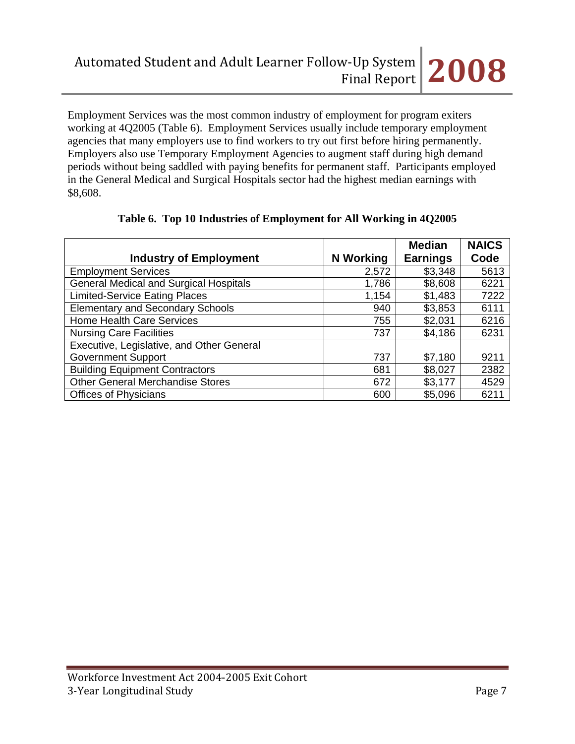Employment Services was the most common industry of employment for program exiters working at 4Q2005 (Table 6). Employment Services usually include temporary employment agencies that many employers use to find workers to try out first before hiring permanently. Employers also use Temporary Employment Agencies to augment staff during high demand periods without being saddled with paying benefits for permanent staff. Participants employed in the General Medical and Surgical Hospitals sector had the highest median earnings with \$8,608.

|                                               |           | <b>Median</b>   | <b>NAICS</b> |
|-----------------------------------------------|-----------|-----------------|--------------|
| <b>Industry of Employment</b>                 | N Working | <b>Earnings</b> | Code         |
| <b>Employment Services</b>                    | 2,572     | \$3,348         | 5613         |
| <b>General Medical and Surgical Hospitals</b> | 1,786     | \$8,608         | 6221         |
| <b>Limited-Service Eating Places</b>          | 1,154     | \$1,483         | 7222         |
| <b>Elementary and Secondary Schools</b>       | 940       | \$3,853         | 6111         |
| Home Health Care Services                     | 755       | \$2,031         | 6216         |
| <b>Nursing Care Facilities</b>                | 737       | \$4,186         | 6231         |
| Executive, Legislative, and Other General     |           |                 |              |
| <b>Government Support</b>                     | 737       | \$7,180         | 9211         |
| <b>Building Equipment Contractors</b>         | 681       | \$8,027         | 2382         |
| <b>Other General Merchandise Stores</b>       | 672       | \$3,177         | 4529         |
| <b>Offices of Physicians</b>                  | 600       | \$5,096         | 6211         |

## **Table 6. Top 10 Industries of Employment for All Working in 4Q2005**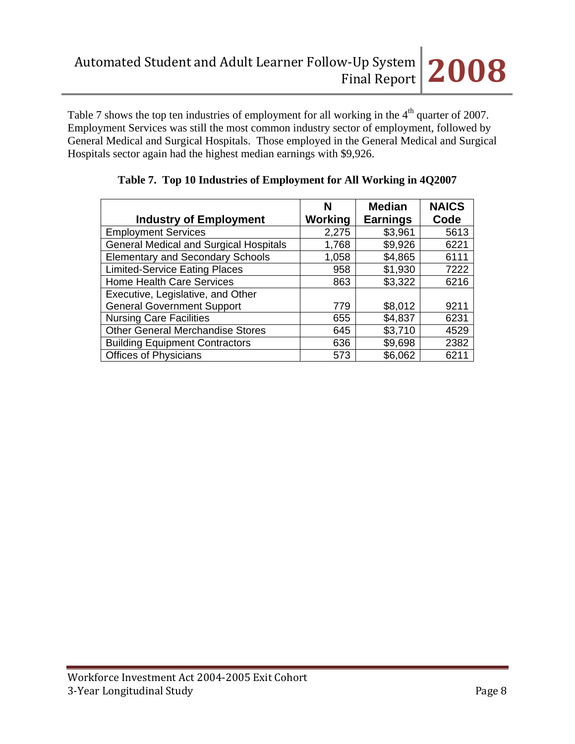Table 7 shows the top ten industries of employment for all working in the  $4<sup>th</sup>$  quarter of 2007. Employment Services was still the most common industry sector of employment, followed by General Medical and Surgical Hospitals. Those employed in the General Medical and Surgical Hospitals sector again had the highest median earnings with \$9,926.

|                                               | N       | <b>Median</b>   | <b>NAICS</b> |
|-----------------------------------------------|---------|-----------------|--------------|
| <b>Industry of Employment</b>                 | Working | <b>Earnings</b> | Code         |
| <b>Employment Services</b>                    | 2,275   | \$3,961         | 5613         |
| <b>General Medical and Surgical Hospitals</b> | 1,768   | \$9,926         | 6221         |
| <b>Elementary and Secondary Schools</b>       | 1,058   | \$4,865         | 6111         |
| <b>Limited-Service Eating Places</b>          | 958     | \$1,930         | 7222         |
| <b>Home Health Care Services</b>              | 863     | \$3,322         | 6216         |
| Executive, Legislative, and Other             |         |                 |              |
| <b>General Government Support</b>             | 779     | \$8,012         | 9211         |
| <b>Nursing Care Facilities</b>                | 655     | \$4,837         | 6231         |
| <b>Other General Merchandise Stores</b>       | 645     | \$3,710         | 4529         |
| <b>Building Equipment Contractors</b>         | 636     | \$9,698         | 2382         |
| <b>Offices of Physicians</b>                  | 573     | \$6,062         | 6211         |

|  | Table 7. Top 10 Industries of Employment for All Working in 4Q2007 |  |  |  |
|--|--------------------------------------------------------------------|--|--|--|
|  |                                                                    |  |  |  |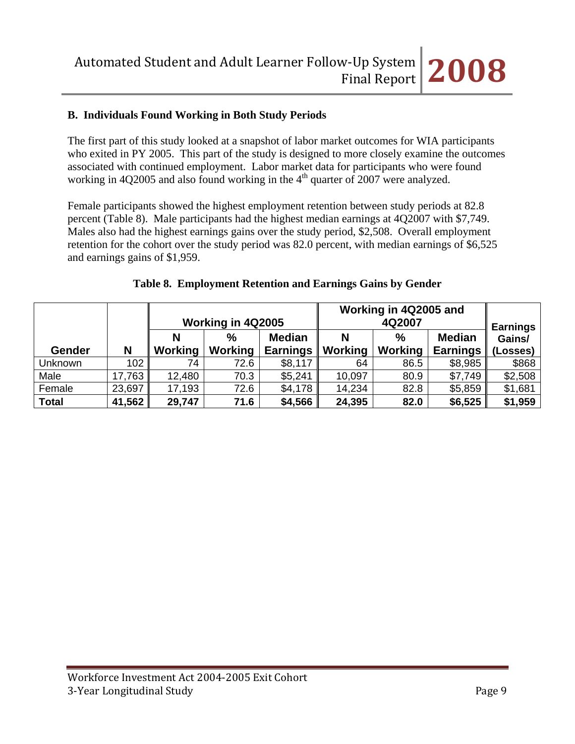# **B. Individuals Found Working in Both Study Periods**

The first part of this study looked at a snapshot of labor market outcomes for WIA participants who exited in PY 2005. This part of the study is designed to more closely examine the outcomes associated with continued employment. Labor market data for participants who were found working in 4Q2005 and also found working in the  $4<sup>th</sup>$  quarter of 2007 were analyzed.

Female participants showed the highest employment retention between study periods at 82.8 percent (Table 8). Male participants had the highest median earnings at 4Q2007 with \$7,749. Males also had the highest earnings gains over the study period, \$2,508. Overall employment retention for the cohort over the study period was 82.0 percent, with median earnings of \$6,525 and earnings gains of \$1,959.

|              |        |         | Working in 4Q2005   |                                  |              | Working in 4Q2005 and<br>4Q2007 |                                  |                                       |
|--------------|--------|---------|---------------------|----------------------------------|--------------|---------------------------------|----------------------------------|---------------------------------------|
| Gender       | N      | Working | %<br><b>Working</b> | <b>Median</b><br><b>Earnings</b> | N<br>Working | $\%$<br>Working                 | <b>Median</b><br><b>Earnings</b> | <b>Earnings</b><br>Gains/<br>(Losses) |
| Unknown      | 102    | 74      | 72.6                | \$8,117                          | 64           | 86.5                            | \$8,985                          | \$868                                 |
| Male         | 17,763 | 12,480  | 70.3                | \$5,241                          | 10,097       | 80.9                            | \$7,749                          | \$2,508                               |
| Female       | 23,697 | 17,193  | 72.6                | \$4,178                          | 14,234       | 82.8                            | \$5,859                          | \$1,681                               |
| <b>Total</b> | 41,562 | 29,747  | 71.6                | \$4,566                          | 24,395       | 82.0                            | \$6,525                          | \$1,959                               |

#### **Table 8. Employment Retention and Earnings Gains by Gender**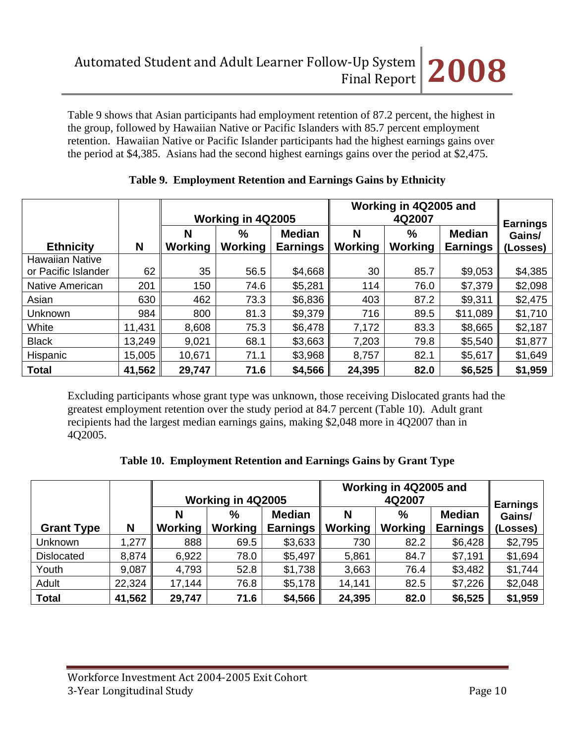Table 9 shows that Asian participants had employment retention of 87.2 percent, the highest in the group, followed by Hawaiian Native or Pacific Islanders with 85.7 percent employment retention. Hawaiian Native or Pacific Islander participants had the highest earnings gains over the period at \$4,385. Asians had the second highest earnings gains over the period at \$2,475.

|                        |        | Working in 4Q2005   |                        |                                  | Working in 4Q2005 and | <b>Earnings</b>     |                                  |                    |
|------------------------|--------|---------------------|------------------------|----------------------------------|-----------------------|---------------------|----------------------------------|--------------------|
| <b>Ethnicity</b>       | N      | N<br><b>Working</b> | $\%$<br><b>Working</b> | <b>Median</b><br><b>Earnings</b> | N<br>Working          | %<br><b>Working</b> | <b>Median</b><br><b>Earnings</b> | Gains/<br>(Losses) |
| <b>Hawaiian Native</b> |        |                     |                        |                                  |                       |                     |                                  |                    |
| or Pacific Islander    | 62     | 35                  | 56.5                   | \$4,668                          | 30                    | 85.7                | \$9,053                          | \$4,385            |
| <b>Native American</b> | 201    | 150                 | 74.6                   | \$5,281                          | 114                   | 76.0                | \$7,379                          | \$2,098            |
| Asian                  | 630    | 462                 | 73.3                   | \$6,836                          | 403                   | 87.2                | \$9,311                          | \$2,475            |
| Unknown                | 984    | 800                 | 81.3                   | \$9,379                          | 716                   | 89.5                | \$11,089                         | \$1,710            |
| White                  | 11,431 | 8,608               | 75.3                   | \$6,478                          | 7,172                 | 83.3                | \$8,665                          | \$2,187            |
| <b>Black</b>           | 13,249 | 9,021               | 68.1                   | \$3,663                          | 7,203                 | 79.8                | \$5,540                          | \$1,877            |
| Hispanic               | 15,005 | 10,671              | 71.1                   | \$3,968                          | 8,757                 | 82.1                | \$5,617                          | \$1,649            |
| <b>Total</b>           | 41,562 | 29,747              | 71.6                   | \$4,566                          | 24,395                | 82.0                | \$6,525                          | \$1,959            |

## **Table 9. Employment Retention and Earnings Gains by Ethnicity**

Excluding participants whose grant type was unknown, those receiving Dislocated grants had the greatest employment retention over the study period at 84.7 percent (Table 10). Adult grant recipients had the largest median earnings gains, making \$2,048 more in 4Q2007 than in 4Q2005.

|  |  | Table 10. Employment Retention and Earnings Gains by Grant Type |  |  |  |
|--|--|-----------------------------------------------------------------|--|--|--|
|--|--|-----------------------------------------------------------------|--|--|--|

|                   |        | Working in 4Q2005 |                        |                                  | Working in 4Q2005 and | <b>Earnings</b>        |                                  |                    |
|-------------------|--------|-------------------|------------------------|----------------------------------|-----------------------|------------------------|----------------------------------|--------------------|
| <b>Grant Type</b> | N      | N<br>Working      | $\%$<br><b>Working</b> | <b>Median</b><br><b>Earnings</b> | N<br>Working          | $\%$<br><b>Working</b> | <b>Median</b><br><b>Earnings</b> | Gains/<br>(Losses) |
| Unknown           | 1,277  | 888               | 69.5                   | \$3,633                          | 730                   | 82.2                   | \$6,428                          | \$2,795            |
| <b>Dislocated</b> | 8,874  | 6,922             | 78.0                   | \$5,497                          | 5,861                 | 84.7                   | \$7,191                          | \$1,694            |
| Youth             | 9,087  | 4,793             | 52.8                   | \$1,738                          | 3,663                 | 76.4                   | \$3,482                          | \$1,744            |
| Adult             | 22,324 | 17,144            | 76.8                   | \$5,178                          | 14,141                | 82.5                   | \$7,226                          | \$2,048            |
| <b>Total</b>      | 41,562 | 29,747            | 71.6                   | \$4,566                          | 24,395                | 82.0                   | \$6,525                          | \$1,959            |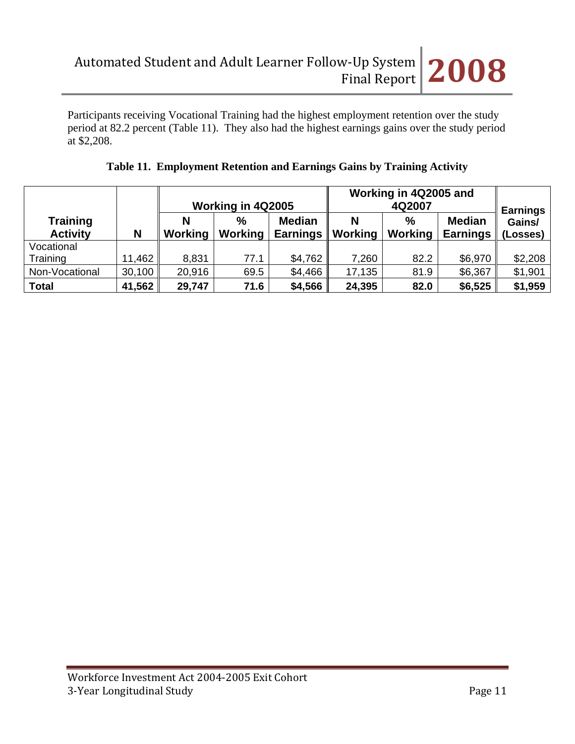Participants receiving Vocational Training had the highest employment retention over the study period at 82.2 percent (Table 11). They also had the highest earnings gains over the study period at \$2,208.

|                                    |        | Working in 4Q2005 |                          |                                | Working in 4Q2005 and | <b>Earnings</b>          |                                  |                    |
|------------------------------------|--------|-------------------|--------------------------|--------------------------------|-----------------------|--------------------------|----------------------------------|--------------------|
| <b>Training</b><br><b>Activity</b> | N      | Working           | $\frac{9}{6}$<br>Working | <b>Median</b><br>Earnings $\ $ | N<br>Working          | $\frac{0}{0}$<br>Working | <b>Median</b><br><b>Earnings</b> | Gains/<br>(Losses) |
| Vocational                         |        |                   |                          |                                |                       |                          |                                  |                    |
| Training                           | 11,462 | 8,831             | 77.1                     | \$4,762                        | 7,260                 | 82.2                     | \$6,970                          | \$2,208            |
| Non-Vocational                     | 30,100 | 20,916            | 69.5                     | \$4,466                        | 17,135                | 81.9                     | \$6,367                          | \$1,901            |
| <b>Total</b>                       | 41,562 | 29,747            | 71.6                     | \$4,566                        | 24,395                | 82.0                     | \$6,525                          | \$1,959            |

# **Table 11. Employment Retention and Earnings Gains by Training Activity**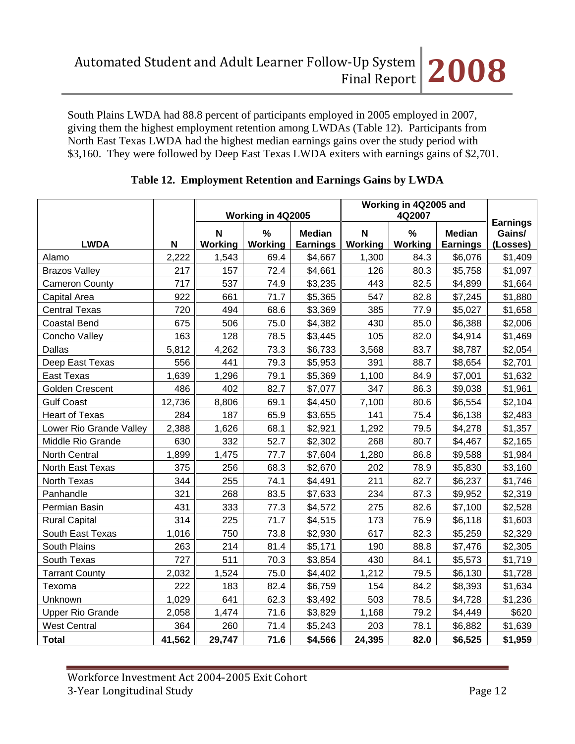South Plains LWDA had 88.8 percent of participants employed in 2005 employed in 2007, giving them the highest employment retention among LWDAs (Table 12). Participants from North East Texas LWDA had the highest median earnings gains over the study period with \$3,160. They were followed by Deep East Texas LWDA exiters with earnings gains of \$2,701.

|                         |        | Working in 4Q2005 |                          | Working in 4Q2005 and            |              |              |                                  |                                       |
|-------------------------|--------|-------------------|--------------------------|----------------------------------|--------------|--------------|----------------------------------|---------------------------------------|
| <b>LWDA</b>             | N      | N<br>Working      | $\frac{0}{0}$<br>Working | <b>Median</b><br><b>Earnings</b> | N<br>Working | %<br>Working | <b>Median</b><br><b>Earnings</b> | <b>Earnings</b><br>Gains/<br>(Losses) |
| Alamo                   | 2,222  | 1,543             | 69.4                     | \$4,667                          | 1,300        | 84.3         | \$6,076                          | \$1,409                               |
| <b>Brazos Valley</b>    | 217    | 157               | 72.4                     | \$4,661                          | 126          | 80.3         | \$5,758                          | \$1,097                               |
| <b>Cameron County</b>   | 717    | 537               | 74.9                     | \$3,235                          | 443          | 82.5         | \$4,899                          | \$1,664                               |
| Capital Area            | 922    | 661               | 71.7                     | \$5,365                          | 547          | 82.8         | \$7,245                          | \$1,880                               |
| <b>Central Texas</b>    | 720    | 494               | 68.6                     | \$3,369                          | 385          | 77.9         | \$5,027                          | \$1,658                               |
| <b>Coastal Bend</b>     | 675    | 506               | 75.0                     | \$4,382                          | 430          | 85.0         | \$6,388                          | \$2,006                               |
| Concho Valley           | 163    | 128               | 78.5                     | \$3,445                          | 105          | 82.0         | \$4,914                          | \$1,469                               |
| <b>Dallas</b>           | 5,812  | 4,262             | 73.3                     | \$6,733                          | 3,568        | 83.7         | \$8,787                          | \$2,054                               |
| Deep East Texas         | 556    | 441               | 79.3                     | \$5,953                          | 391          | 88.7         | \$8,654                          | \$2,701                               |
| East Texas              | 1,639  | 1,296             | 79.1                     | \$5,369                          | 1,100        | 84.9         | \$7,001                          | \$1,632                               |
| Golden Crescent         | 486    | 402               | 82.7                     | \$7,077                          | 347          | 86.3         | \$9,038                          | \$1,961                               |
| <b>Gulf Coast</b>       | 12,736 | 8,806             | 69.1                     | \$4,450                          | 7,100        | 80.6         | \$6,554                          | \$2,104                               |
| <b>Heart of Texas</b>   | 284    | 187               | 65.9                     | \$3,655                          | 141          | 75.4         | \$6,138                          | \$2,483                               |
| Lower Rio Grande Valley | 2,388  | 1,626             | 68.1                     | \$2,921                          | 1,292        | 79.5         | \$4,278                          | \$1,357                               |
| Middle Rio Grande       | 630    | 332               | 52.7                     | \$2,302                          | 268          | 80.7         | \$4,467                          | \$2,165                               |
| <b>North Central</b>    | 1,899  | 1,475             | 77.7                     | \$7,604                          | 1,280        | 86.8         | \$9,588                          | \$1,984                               |
| North East Texas        | 375    | 256               | 68.3                     | \$2,670                          | 202          | 78.9         | \$5,830                          | \$3,160                               |
| North Texas             | 344    | 255               | 74.1                     | \$4,491                          | 211          | 82.7         | \$6,237                          | \$1,746                               |
| Panhandle               | 321    | 268               | 83.5                     | \$7,633                          | 234          | 87.3         | \$9,952                          | \$2,319                               |
| Permian Basin           | 431    | 333               | 77.3                     | \$4,572                          | 275          | 82.6         | \$7,100                          | \$2,528                               |
| <b>Rural Capital</b>    | 314    | 225               | 71.7                     | \$4,515                          | 173          | 76.9         | \$6,118                          | \$1,603                               |
| South East Texas        | 1,016  | 750               | 73.8                     | \$2,930                          | 617          | 82.3         | \$5,259                          | \$2,329                               |
| South Plains            | 263    | 214               | 81.4                     | \$5,171                          | 190          | 88.8         | \$7,476                          | \$2,305                               |
| South Texas             | 727    | 511               | 70.3                     | \$3,854                          | 430          | 84.1         | \$5,573                          | \$1,719                               |
| <b>Tarrant County</b>   | 2,032  | 1,524             | 75.0                     | \$4,402                          | 1,212        | 79.5         | \$6,130                          | \$1,728                               |
| Texoma                  | 222    | 183               | 82.4                     | \$6,759                          | 154          | 84.2         | \$8,393                          | \$1,634                               |
| Unknown                 | 1,029  | 641               | 62.3                     | \$3,492                          | 503          | 78.5         | \$4,728                          | \$1,236                               |
| <b>Upper Rio Grande</b> | 2,058  | 1,474             | 71.6                     | \$3,829                          | 1,168        | 79.2         | \$4,449                          | \$620                                 |
| <b>West Central</b>     | 364    | 260               | 71.4                     | \$5,243                          | 203          | 78.1         | \$6,882                          | \$1,639                               |
| <b>Total</b>            | 41,562 | 29,747            | 71.6                     | \$4,566                          | 24,395       | 82.0         | \$6,525                          | \$1,959                               |

## **Table 12. Employment Retention and Earnings Gains by LWDA**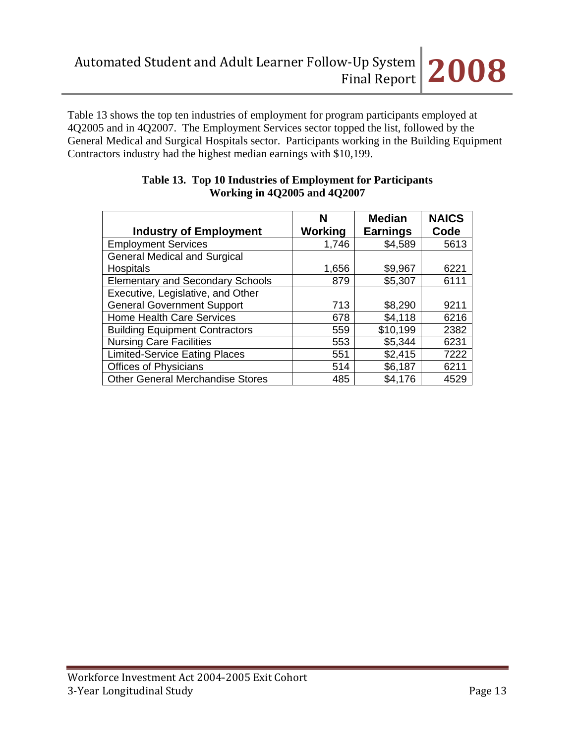

Table 13 shows the top ten industries of employment for program participants employed at 4Q2005 and in 4Q2007. The Employment Services sector topped the list, followed by the General Medical and Surgical Hospitals sector. Participants working in the Building Equipment Contractors industry had the highest median earnings with \$10,199.

| <b>Industry of Employment</b>           | N<br>Working | <b>Median</b><br><b>Earnings</b> | <b>NAICS</b><br>Code |
|-----------------------------------------|--------------|----------------------------------|----------------------|
|                                         |              |                                  |                      |
| <b>Employment Services</b>              | 1,746        | \$4,589                          | 5613                 |
| <b>General Medical and Surgical</b>     |              |                                  |                      |
| <b>Hospitals</b>                        | 1,656        | \$9,967                          | 6221                 |
| <b>Elementary and Secondary Schools</b> | 879          | \$5,307                          | 6111                 |
| Executive, Legislative, and Other       |              |                                  |                      |
| <b>General Government Support</b>       | 713          | \$8,290                          | 9211                 |
| <b>Home Health Care Services</b>        | 678          | \$4,118                          | 6216                 |
| <b>Building Equipment Contractors</b>   | 559          | \$10,199                         | 2382                 |
| <b>Nursing Care Facilities</b>          | 553          | \$5,344                          | 6231                 |
| <b>Limited-Service Eating Places</b>    | 551          | \$2,415                          | 7222                 |
| <b>Offices of Physicians</b>            | 514          | \$6,187                          | 6211                 |
| <b>Other General Merchandise Stores</b> | 485          | \$4,176                          | 4529                 |

#### **Table 13. Top 10 Industries of Employment for Participants Working in 4Q2005 and 4Q2007**